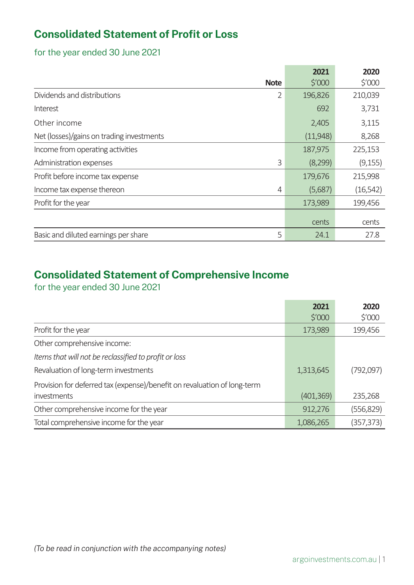# **Consolidated Statement of Profit or Loss**

for the year ended 30 June 2021

|                                               | 2021            | 2020            |
|-----------------------------------------------|-----------------|-----------------|
| <b>Note</b>                                   | $$^{\prime}000$ | $$^{\prime}000$ |
| Dividends and distributions<br>$\overline{2}$ | 196,826         | 210,039         |
| Interest                                      | 692             | 3,731           |
| Other income                                  | 2,405           | 3,115           |
| Net (losses)/gains on trading investments     | (11,948)        | 8,268           |
| Income from operating activities              | 187,975         | 225,153         |
| 3<br>Administration expenses                  | (8,299)         | (9, 155)        |
| Profit before income tax expense              | 179,676         | 215,998         |
| Income tax expense thereon<br>4               | (5,687)         | (16, 542)       |
| Profit for the year                           | 173,989         | 199,456         |
|                                               | cents           | cents           |
| 5<br>Basic and diluted earnings per share     | 24.1            | 27.8            |

# **Consolidated Statement of Comprehensive Income**

for the year ended 30 June 2021

|                                                                          | 2021            | 2020       |
|--------------------------------------------------------------------------|-----------------|------------|
|                                                                          | $$^{\prime}000$ | \$′000     |
| Profit for the year                                                      | 173,989         | 199,456    |
| Other comprehensive income:                                              |                 |            |
| Items that will not be reclassified to profit or loss                    |                 |            |
| Revaluation of long-term investments                                     | 1,313,645       | (792,097)  |
| Provision for deferred tax (expense)/benefit on revaluation of long-term |                 |            |
| investments                                                              | (401, 369)      | 235,268    |
| Other comprehensive income for the year                                  | 912,276         | (556,829)  |
| Total comprehensive income for the year                                  | 1,086,265       | (357, 373) |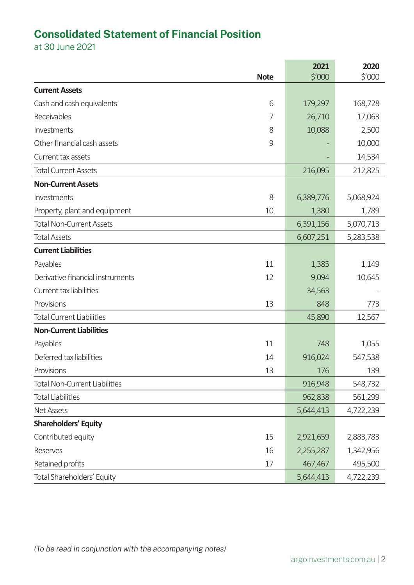# **Consolidated Statement of Financial Position**

at 30 June 2021

|                                        | 2021      | 2020      |
|----------------------------------------|-----------|-----------|
| <b>Note</b>                            | \$′000    | \$'000    |
| <b>Current Assets</b>                  |           |           |
| Cash and cash equivalents<br>6         | 179,297   | 168,728   |
| Receivables<br>7                       | 26,710    | 17,063    |
| Investments<br>8                       | 10,088    | 2,500     |
| Other financial cash assets<br>9       |           | 10,000    |
| Current tax assets                     |           | 14,534    |
| <b>Total Current Assets</b>            | 216,095   | 212,825   |
| <b>Non-Current Assets</b>              |           |           |
| Investments<br>8                       | 6,389,776 | 5,068,924 |
| Property, plant and equipment<br>10    | 1,380     | 1,789     |
| <b>Total Non-Current Assets</b>        | 6,391,156 | 5,070,713 |
| <b>Total Assets</b>                    | 6,607,251 | 5,283,538 |
| <b>Current Liabilities</b>             |           |           |
| Payables<br>11                         | 1,385     | 1,149     |
| Derivative financial instruments<br>12 | 9,094     | 10,645    |
| Current tax liabilities                | 34,563    |           |
| Provisions<br>13                       | 848       | 773       |
| <b>Total Current Liabilities</b>       | 45,890    | 12,567    |
| <b>Non-Current Liabilities</b>         |           |           |
| Payables<br>11                         | 748       | 1,055     |
| Deferred tax liabilities<br>14         | 916,024   | 547,538   |
| 13<br>Provisions                       | 176       | 139       |
| <b>Total Non-Current Liabilities</b>   | 916,948   | 548,732   |
| <b>Total Liabilities</b>               | 962,838   | 561,299   |
| <b>Net Assets</b>                      | 5,644,413 | 4,722,239 |
| <b>Shareholders' Equity</b>            |           |           |
| Contributed equity<br>15               | 2,921,659 | 2,883,783 |
| 16<br>Reserves                         | 2,255,287 | 1,342,956 |
| Retained profits<br>17                 | 467,467   | 495,500   |
| Total Shareholders' Equity             | 5,644,413 | 4,722,239 |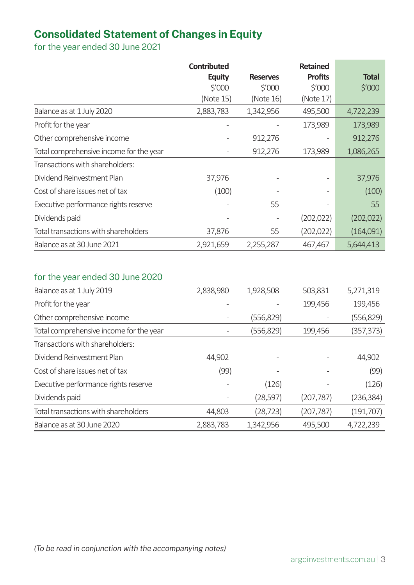# **Consolidated Statement of Changes in Equity**

for the year ended 30 June 2021

|                                         | <b>Contributed</b> |                   | <b>Retained</b>   |              |
|-----------------------------------------|--------------------|-------------------|-------------------|--------------|
|                                         | <b>Equity</b>      | <b>Reserves</b>   | <b>Profits</b>    | <b>Total</b> |
|                                         | $$^{\prime}000$    | $\frac{5'000}{5}$ | $\frac{5'000}{5}$ | \$′000       |
|                                         | (Note 15)          | (Note 16)         | (Note 17)         |              |
| Balance as at 1 July 2020               | 2,883,783          | 1,342,956         | 495,500           | 4,722,239    |
| Profit for the year                     |                    |                   | 173,989           | 173,989      |
| Other comprehensive income              |                    | 912,276           |                   | 912,276      |
| Total comprehensive income for the year |                    | 912,276           | 173,989           | 1,086,265    |
| Transactions with shareholders:         |                    |                   |                   |              |
| Dividend Reinvestment Plan              | 37,976             |                   |                   | 37,976       |
| Cost of share issues net of tax         | (100)              |                   |                   | (100)        |
| Executive performance rights reserve    |                    | 55                |                   | 55           |
| Dividends paid                          |                    |                   | (202, 022)        | (202, 022)   |
| Total transactions with shareholders    | 37,876             | 55                | (202, 022)        | (164,091)    |
| Balance as at 30 June 2021              | 2,921,659          | 2,255,287         | 467,467           | 5,644,413    |

# for the year ended 30 June 2020

| Balance as at 1 July 2019               | 2,838,980 | 1,928,508  | 503,831    | 5,271,319  |
|-----------------------------------------|-----------|------------|------------|------------|
| Profit for the year                     |           |            | 199,456    | 199,456    |
| Other comprehensive income              |           | (556, 829) |            | (556, 829) |
| Total comprehensive income for the year |           | (556, 829) | 199,456    | (357, 373) |
| Transactions with shareholders:         |           |            |            |            |
| Dividend Reinvestment Plan              | 44,902    |            |            | 44,902     |
| Cost of share issues net of tax         | (99)      |            |            | (99)       |
| Executive performance rights reserve    |           | (126)      |            | (126)      |
| Dividends paid                          |           | (28, 597)  | (207, 787) | (236, 384) |
| Total transactions with shareholders    | 44,803    | (28, 723)  | (207, 787) | (191, 707) |
| Balance as at 30 June 2020              | 2,883,783 | 1,342,956  | 495,500    | 4,722,239  |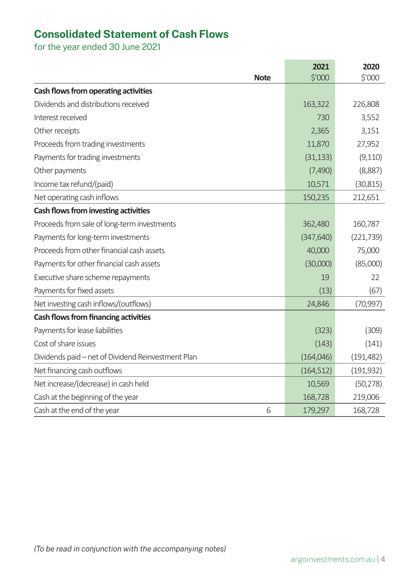# **Consolidated Statement of Cash Flows**

for the year ended 30 June 2021

|                                                    | 2021       | 2020       |
|----------------------------------------------------|------------|------------|
| <b>Note</b>                                        | \$'000     | \$'000     |
| Cash flows from operating activities               |            |            |
| Dividends and distributions received               | 163,322    | 226,808    |
| Interest received                                  | 730        | 3,552      |
| Other receipts                                     | 2,365      | 3,151      |
| Proceeds from trading investments                  | 11,870     | 27,952     |
| Payments for trading investments                   | (31, 133)  | (9,110)    |
| Other payments                                     | (7,490)    | (8,887)    |
| Income tax refund/(paid)                           | 10,571     | (30, 815)  |
| Net operating cash inflows                         | 150,235    | 212,651    |
| Cash flows from investing activities               |            |            |
| Proceeds from sale of long-term investments        | 362,480    | 160,787    |
| Payments for long-term investments                 | (347, 640) | (221, 739) |
| Proceeds from other financial cash assets          | 40,000     | 75,000     |
| Payments for other financial cash assets           | (30,000)   | (85,000)   |
| Executive share scheme repayments                  | 19         | 22         |
| Payments for fixed assets                          | (13)       | (67)       |
| Net investing cash inflows/(outflows)              | 24,846     | (70, 997)  |
| <b>Cash flows from financing activities</b>        |            |            |
| Payments for lease liabilities                     | (323)      | (309)      |
| Cost of share issues                               | (143)      | (141)      |
| Dividends paid - net of Dividend Reinvestment Plan | (164, 046) | (191, 482) |
| Net financing cash outflows                        | (164, 512) | (191, 932) |
| Net increase/(decrease) in cash held               | 10,569     | (50, 278)  |
| Cash at the beginning of the year                  | 168,728    | 219,006    |
| Cash at the end of the year<br>6                   | 179,297    | 168,728    |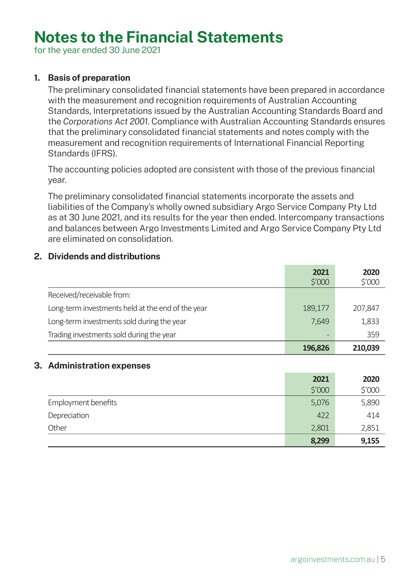# **Notes to the Financial Statements**

for the year ended 30 June 2021

# **1. Basis of preparation**

The preliminary consolidated financial statements have been prepared in accordance with the measurement and recognition requirements of Australian Accounting Standards, Interpretations issued by the Australian Accounting Standards Board and the *Corporations Act 2001*. Compliance with Australian Accounting Standards ensures that the preliminary consolidated financial statements and notes comply with the measurement and recognition requirements of International Financial Reporting Standards (IFRS).

The accounting policies adopted are consistent with those of the previous financial year.

The preliminary consolidated financial statements incorporate the assets and liabilities of the Company's wholly owned subsidiary Argo Service Company Pty Ltd as at 30 June 2021, and its results for the year then ended. Intercompany transactions and balances between Argo Investments Limited and Argo Service Company Pty Ltd are eliminated on consolidation.

# **2. Dividends and distributions**

|                                                   | 2021              | 2020    |
|---------------------------------------------------|-------------------|---------|
|                                                   | $\frac{5'000}{2}$ | \$'000  |
| Received/receivable from:                         |                   |         |
| Long-term investments held at the end of the year | 189,177           | 207,847 |
| Long-term investments sold during the year        | 7,649             | 1,833   |
| Trading investments sold during the year          | $\qquad \qquad -$ | 359     |
|                                                   | 196,826           | 210,039 |

# **3. Administration expenses**

|                     | 2021   | 2020            |
|---------------------|--------|-----------------|
|                     | \$'000 | $$^{\prime}000$ |
| Employment benefits | 5,076  | 5,890           |
| Depreciation        | 422    | 414             |
| Other               | 2,801  | 2,851           |
|                     | 8,299  | 9,155           |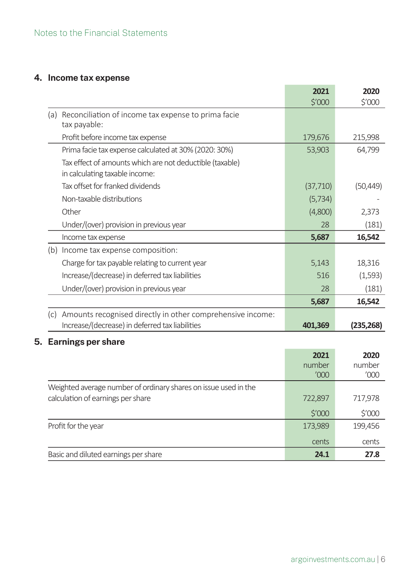# **4. Income tax expense**

|     |                                                                                            | 2021      | 2020       |
|-----|--------------------------------------------------------------------------------------------|-----------|------------|
|     |                                                                                            | \$′000    | \$'000     |
| (a) | Reconciliation of income tax expense to prima facie<br>tax payable:                        |           |            |
|     | Profit before income tax expense                                                           | 179,676   | 215,998    |
|     | Prima facie tax expense calculated at 30% (2020: 30%)                                      | 53,903    | 64,799     |
|     | Tax effect of amounts which are not deductible (taxable)<br>in calculating taxable income: |           |            |
|     | Tax offset for franked dividends                                                           | (37, 710) | (50, 449)  |
|     | Non-taxable distributions                                                                  | (5, 734)  |            |
|     | Other                                                                                      | (4,800)   | 2,373      |
|     | Under/(over) provision in previous year                                                    | 28        | (181)      |
|     | Income tax expense                                                                         | 5,687     | 16,542     |
| (b) | Income tax expense composition:                                                            |           |            |
|     | Charge for tax payable relating to current year                                            | 5,143     | 18,316     |
|     | Increase/(decrease) in deferred tax liabilities                                            | 516       | (1,593)    |
|     | Under/(over) provision in previous year                                                    | 28        | (181)      |
|     |                                                                                            | 5,687     | 16,542     |
| (c) | Amounts recognised directly in other comprehensive income:                                 |           |            |
|     | Increase/(decrease) in deferred tax liabilities                                            | 401,369   | (235, 268) |

# **5. Earnings per share**

|                                                                                                      | 2021<br>number<br>'000 | 2020<br>number<br>'000 |
|------------------------------------------------------------------------------------------------------|------------------------|------------------------|
| Weighted average number of ordinary shares on issue used in the<br>calculation of earnings per share | 722,897                | 717,978                |
|                                                                                                      | \$′000                 | \$′000                 |
| Profit for the year                                                                                  | 173,989                | 199,456                |
|                                                                                                      | cents                  | cents                  |
| Basic and diluted earnings per share                                                                 | 24.1                   | 27.8                   |

÷

٠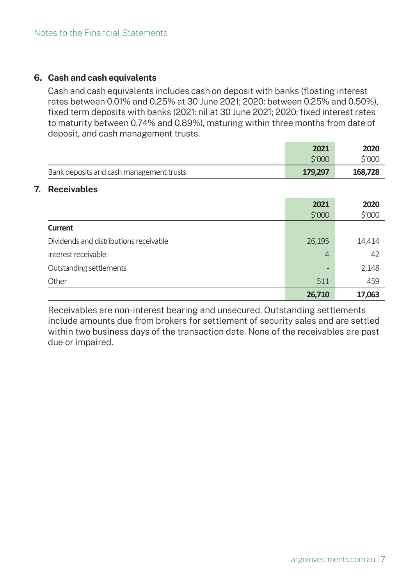# **6. Cash and cash equivalents**

Cash and cash equivalents includes cash on deposit with banks (floating interest rates between 0.01% and 0.25% at 30 June 2021; 2020: between 0.25% and 0.50%), fixed term deposits with banks (2021: nil at 30 June 2021; 2020: fixed interest rates to maturity between 0.74% and 0.89%), maturing within three months from date of deposit, and cash management trusts.

|                                          | 2021            | 2020    |
|------------------------------------------|-----------------|---------|
|                                          | \$′000          | \$′000  |
| Bank deposits and cash management trusts | 179,297         | 168,728 |
| 7.<br><b>Receivables</b>                 |                 |         |
|                                          | 2021            | 2020    |
|                                          | $$^{\prime}000$ | \$′000  |
| <b>Current</b>                           |                 |         |
| Dividends and distributions receivable   | 26,195          | 14,414  |
| Interest receivable                      | $\overline{4}$  | 42      |
| Outstanding settlements                  |                 | 2,148   |
| Other                                    | 511             | 459     |
|                                          | 26,710          | 17,063  |

Receivables are non-interest bearing and unsecured. Outstanding settlements include amounts due from brokers for settlement of security sales and are settled within two business days of the transaction date. None of the receivables are past due or impaired.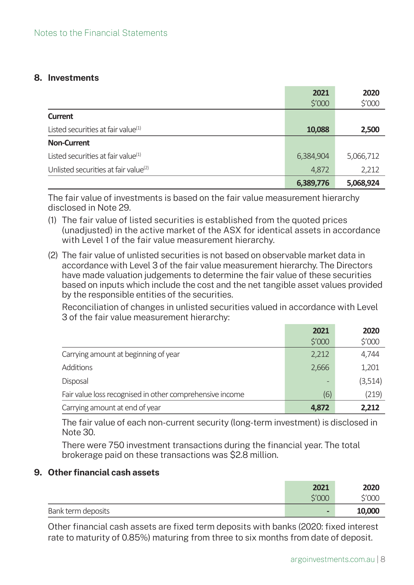# **8. Investments**

|                                                  | 2021             | 2020      |
|--------------------------------------------------|------------------|-----------|
|                                                  | $\frac{1}{2}000$ | \$′000    |
| <b>Current</b>                                   |                  |           |
| Listed securities at fair value <sup>(1)</sup>   | 10,088           | 2,500     |
| <b>Non-Current</b>                               |                  |           |
| Listed securities at fair value <sup>(1)</sup>   | 6,384,904        | 5,066,712 |
| Unlisted securities at fair value <sup>(2)</sup> | 4,872            | 2,212     |
|                                                  | 6,389,776        | 5,068,924 |

The fair value of investments is based on the fair value measurement hierarchy disclosed in Note 29.

- (1) The fair value of listed securities is established from the quoted prices (unadjusted) in the active market of the ASX for identical assets in accordance with Level 1 of the fair value measurement hierarchy.
- (2) The fair value of unlisted securities is not based on observable market data in accordance with Level 3 of the fair value measurement hierarchy. The Directors have made valuation judgements to determine the fair value of these securities based on inputs which include the cost and the net tangible asset values provided by the responsible entities of the securities.

Reconciliation of changes in unlisted securities valued in accordance with Level 3 of the fair value measurement hierarchy:

|                                                          | 2021   | 2020    |
|----------------------------------------------------------|--------|---------|
|                                                          | \$′000 | \$′000  |
| Carrying amount at beginning of year                     | 2,212  | 4,744   |
| Additions                                                | 2,666  | 1,201   |
| Disposal                                                 |        | (3,514) |
| Fair value loss recognised in other comprehensive income | (6)    | (219)   |
| Carrying amount at end of year                           | 4,872  | 2,212   |

The fair value of each non-current security (long-term investment) is disclosed in Note 30.

There were 750 investment transactions during the financial vear. The total brokerage paid on these transactions was \$2.8 million.

# **9.** Other financial cash assets

|                    | 2021                     | 2020   |
|--------------------|--------------------------|--------|
|                    | \$'000                   | \$'000 |
| Bank term deposits | $\overline{\phantom{0}}$ | 10,000 |

Other financial cash assets are fixed term deposits with banks (2020: fixed interest rate to maturity of 0.85%) maturing from three to six months from date of deposit.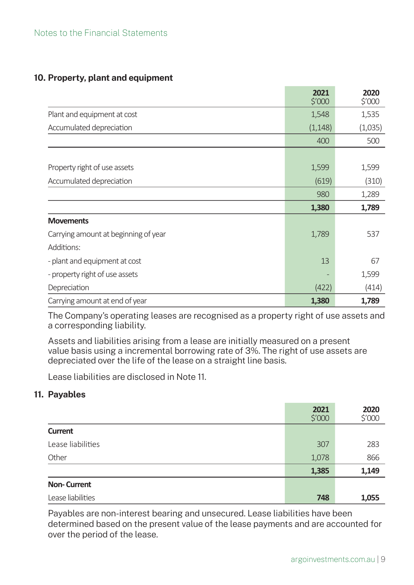# Notes to the Financial Statements

#### **10. Property, plant and equipment**

|                                      | 2021<br>\$′000 | 2020<br>$\frac{5'000}{5}$ |
|--------------------------------------|----------------|---------------------------|
| Plant and equipment at cost          | 1,548          | 1,535                     |
| Accumulated depreciation             | (1, 148)       | (1,035)                   |
|                                      | 400            | 500                       |
|                                      |                |                           |
| Property right of use assets         | 1,599          | 1,599                     |
| Accumulated depreciation             | (619)          | (310)                     |
|                                      | 980            | 1,289                     |
|                                      | 1,380          | 1,789                     |
| <b>Movements</b>                     |                |                           |
| Carrying amount at beginning of year | 1,789          | 537                       |
| Additions:                           |                |                           |
| - plant and equipment at cost        | 13             | 67                        |
| - property right of use assets       |                | 1,599                     |
| Depreciation                         | (422)          | (414)                     |
| Carrying amount at end of year       | 1,380          | 1,789                     |

The Company's operating leases are recognised as a property right of use assets and a corresponding liability.

Assets and liabilities arising from a lease are initially measured on a present value basis using a incremental borrowing rate of 3%. The right of use assets are depreciated over the life of the lease on a straight line basis.

Lease liabilities are disclosed in Note 11.

# **11. Payables**

|                    | 2021<br>\$′000 | 2020<br>\$′000 |
|--------------------|----------------|----------------|
| <b>Current</b>     |                |                |
| Lease liabilities  | 307            | 283            |
| Other              | 1,078          | 866            |
|                    | 1,385          | 1,149          |
| <b>Non-Current</b> |                |                |
| Lease liabilities  | 748            | 1,055          |

Payables are non-interest bearing and unsecured. Lease liabilities have been determined based on the present value of the lease payments and are accounted for over the period of the lease.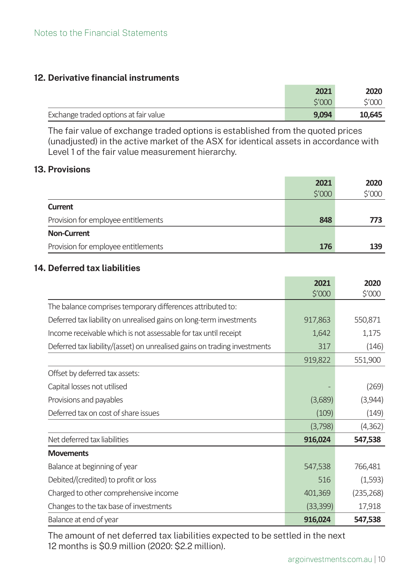## **12. Derivative financial instruments**

|                                       | 2021         | 2020   |
|---------------------------------------|--------------|--------|
|                                       | <b>S'000</b> | \$'000 |
| Exchange traded options at fair value | 9,094        | 10,645 |

The fair value of exchange traded options is established from the quoted prices (unadjusted) in the active market of the ASX for identical assets in accordance with Level 1 of the fair value measurement hierarchy.

#### **13. Provisions**

|                                     | 2021   | 2020   |
|-------------------------------------|--------|--------|
|                                     | \$'000 | \$'000 |
| <b>Current</b>                      |        |        |
| Provision for employee entitlements | 848    | 773    |
| <b>Non-Current</b>                  |        |        |
| Provision for employee entitlements | 176    | 139    |

# **14. Deferred tax liabilities**

|                                                                           | 2021      | 2020       |
|---------------------------------------------------------------------------|-----------|------------|
|                                                                           | \$′000    | \$′000     |
| The balance comprises temporary differences attributed to:                |           |            |
| Deferred tax liability on unrealised gains on long-term investments       | 917,863   | 550,871    |
| Income receivable which is not assessable for tax until receipt           | 1,642     | 1,175      |
| Deferred tax liability/(asset) on unrealised gains on trading investments | 317       | (146)      |
|                                                                           | 919,822   | 551,900    |
| Offset by deferred tax assets:                                            |           |            |
| Capital losses not utilised                                               |           | (269)      |
| Provisions and payables                                                   | (3,689)   | (3,944)    |
| Deferred tax on cost of share issues                                      | (109)     | (149)      |
|                                                                           | (3,798)   | (4, 362)   |
| Net deferred tax liabilities                                              | 916,024   | 547,538    |
| <b>Movements</b>                                                          |           |            |
| Balance at beginning of year                                              | 547,538   | 766,481    |
| Debited/(credited) to profit or loss                                      | 516       | (1,593)    |
| Charged to other comprehensive income                                     | 401,369   | (235, 268) |
| Changes to the tax base of investments                                    | (33, 399) | 17,918     |
| Balance at end of year                                                    | 916,024   | 547,538    |

The amount of net deferred tax liabilities expected to be settled in the next 12 months is \$0.9 million (2020: \$2.2 million).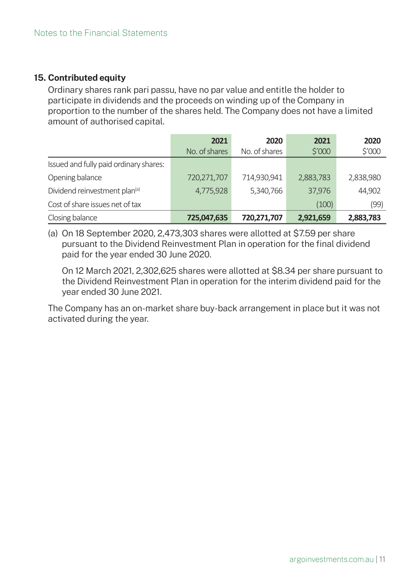# **15. Contributed equity**

Ordinary shares rank pari passu, have no par value and entitle the holder to participate in dividends and the proceeds on winding up of the Company in proportion to the number of the shares held. The Company does not have a limited amount of authorised capital.

|                                           | 2021          | 2020          | 2021            | 2020      |
|-------------------------------------------|---------------|---------------|-----------------|-----------|
|                                           | No. of shares | No. of shares | $$^{\prime}000$ | \$′000    |
| Issued and fully paid ordinary shares:    |               |               |                 |           |
| Opening balance                           | 720,271,707   | 714,930,941   | 2,883,783       | 2,838,980 |
| Dividend reinvestment plan <sup>(a)</sup> | 4,775,928     | 5,340,766     | 37,976          | 44,902    |
| Cost of share issues net of tax           |               |               | (100)           | (99)      |
| Closing balance                           | 725,047,635   | 720,271,707   | 2,921,659       | 2,883,783 |

(a) On 18 September 2020, 2,473,303 shares were allotted at \$7.59 per share pursuant to the Dividend Reinvestment Plan in operation for the final dividend paid for the year ended 30 June 2020.

On 12 March 2021, 2,302,625 shares were allotted at \$8.34 per share pursuant to the Dividend Reinvestment Plan in operation for the interim dividend paid for the year ended 30 June 2021.

The Company has an on-market share buy-back arrangement in place but it was not activated during the year.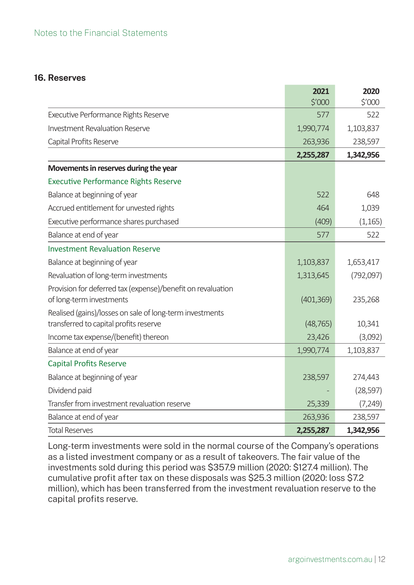## **16. Reserves**

|                                                             | 2021       | 2020      |
|-------------------------------------------------------------|------------|-----------|
|                                                             | \$′000     | \$'000    |
| Executive Performance Rights Reserve                        | 577        | 522       |
| <b>Investment Revaluation Reserve</b>                       | 1,990,774  | 1,103,837 |
| Capital Profits Reserve                                     | 263,936    | 238,597   |
|                                                             | 2,255,287  | 1,342,956 |
| Movements in reserves during the year                       |            |           |
| <b>Executive Performance Rights Reserve</b>                 |            |           |
| Balance at beginning of year                                | 522        | 648       |
| Accrued entitlement for unvested rights                     | 464        | 1,039     |
| Executive performance shares purchased                      | (409)      | (1, 165)  |
| Balance at end of year                                      | 577        | 522       |
| <b>Investment Revaluation Reserve</b>                       |            |           |
| Balance at beginning of year                                | 1,103,837  | 1,653,417 |
| Revaluation of long-term investments                        | 1,313,645  | (792,097) |
| Provision for deferred tax (expense)/benefit on revaluation |            |           |
| of long-term investments                                    | (401, 369) | 235,268   |
| Realised (gains)/losses on sale of long-term investments    |            |           |
| transferred to capital profits reserve                      | (48, 765)  | 10,341    |
| Income tax expense/(benefit) thereon                        | 23,426     | (3,092)   |
| Balance at end of year                                      | 1,990,774  | 1,103,837 |
| <b>Capital Profits Reserve</b>                              |            |           |
| Balance at beginning of year                                | 238,597    | 274,443   |
| Dividend paid                                               |            | (28, 597) |
| Transfer from investment revaluation reserve                | 25,339     | (7, 249)  |
| Balance at end of year                                      | 263,936    | 238,597   |
| <b>Total Reserves</b>                                       | 2,255,287  | 1,342,956 |

Long-term investments were sold in the normal course of the Company's operations as a listed investment company or as a result of takeovers. The fair value of the investments sold during this period was \$357.9 million (2020: \$127.4 million). The cumulative profit after tax on these disposals was \$25.3 million (2020: loss \$7.2 million), which has been transferred from the investment revaluation reserve to the capital profits reserve.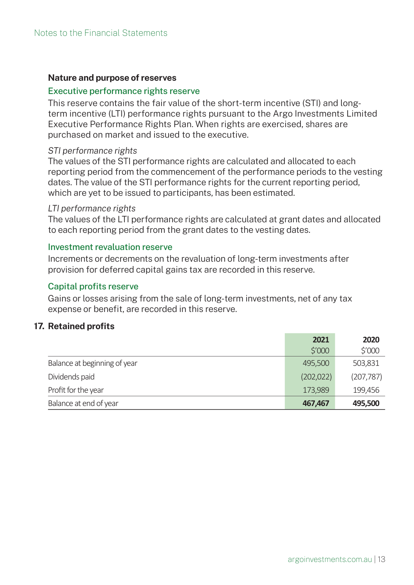#### **Nature and purpose of reserves**

#### Executive performance rights reserve

This reserve contains the fair value of the short-term incentive (STI) and longterm incentive (LTI) performance rights pursuant to the Argo Investments Limited Executive Performance Rights Plan. When rights are exercised, shares are purchased on market and issued to the executive.

#### *STI performance rights*

The values of the STI performance rights are calculated and allocated to each reporting period from the commencement of the performance periods to the vesting dates. The value of the STI performance rights for the current reporting period, which are yet to be issued to participants, has been estimated.

#### *LTI performance rights*

The values of the LTI performance rights are calculated at grant dates and allocated to each reporting period from the grant dates to the vesting dates.

#### Investment revaluation reserve

Increments or decrements on the revaluation of long-term investments after provision for deferred capital gains tax are recorded in this reserve.

#### Capital profits reserve

Gains or losses arising from the sale of long-term investments, net of any tax expense or benefit, are recorded in this reserve.

#### **17. Retained profits**

|                              | 2021             | 2020       |
|------------------------------|------------------|------------|
|                              | $\frac{1}{2}000$ | \$′000     |
| Balance at beginning of year | 495,500          | 503,831    |
| Dividends paid               | (202, 022)       | (207, 787) |
| Profit for the year          | 173,989          | 199,456    |
| Balance at end of year       | 467,467          | 495,500    |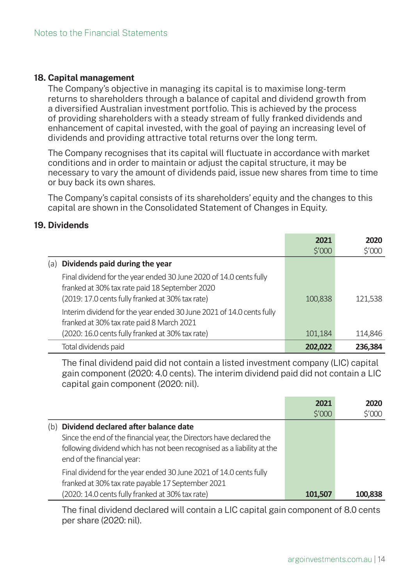## **18. Capital management**

The Company's objective in managing its capital is to maximise long-term returns to shareholders through a balance of capital and dividend growth from a diversified Australian investment portfolio. This is achieved by the process of providing shareholders with a steady stream of fully franked dividends and enhancement of capital invested, with the goal of paying an increasing level of dividends and providing attractive total returns over the long term.

The Company recognises that its capital will fluctuate in accordance with market conditions and in order to maintain or adjust the capital structure, it may be hecessary to vary the amount of dividends paid, issue new shares from time to time or buy back its own shares.

The Company's capital consists of its shareholders' equity and the changes to this capital are shown in the Consolidated Statement of Changes in Equity.

#### **19. Dividends**

|                                                                                                                                                                          | 2021    | 2020    |
|--------------------------------------------------------------------------------------------------------------------------------------------------------------------------|---------|---------|
|                                                                                                                                                                          | \$′000  | \$'000  |
| Dividends paid during the year<br>a)                                                                                                                                     |         |         |
| Final dividend for the year ended 30 June 2020 of 14.0 cents fully<br>franked at 30% tax rate paid 18 September 2020<br>(2019: 17.0 cents fully franked at 30% tax rate) | 100,838 | 121,538 |
| Interim dividend for the year ended 30 June 2021 of 14.0 cents fully<br>franked at 30% tax rate paid 8 March 2021                                                        |         |         |
| (2020: 16.0 cents fully franked at 30% tax rate)                                                                                                                         | 101,184 | 114,846 |
| Total dividends paid                                                                                                                                                     | 202,022 | 236,384 |

The final dividend paid did not contain a listed investment company (LIC) capital gain component (2020: 4.0 cents). The interim dividend paid did not contain a LIC capital gain component (2020; nil).

|                                                                                                                                                                                                                             | 2021<br>\$'000 | 2020<br>\$′000 |
|-----------------------------------------------------------------------------------------------------------------------------------------------------------------------------------------------------------------------------|----------------|----------------|
| Dividend declared after balance date<br>(b)<br>Since the end of the financial year, the Directors have declared the<br>following dividend which has not been recognised as a liability at the<br>end of the financial year: |                |                |
| Final dividend for the year ended 30 June 2021 of 14.0 cents fully<br>franked at 30% tax rate payable 17 September 2021<br>(2020: 14.0 cents fully franked at 30% tax rate)                                                 | 101,507        | 100,838        |

The final dividend declared will contain a LIC capital gain component of 8.0 cents per share (2020: nil).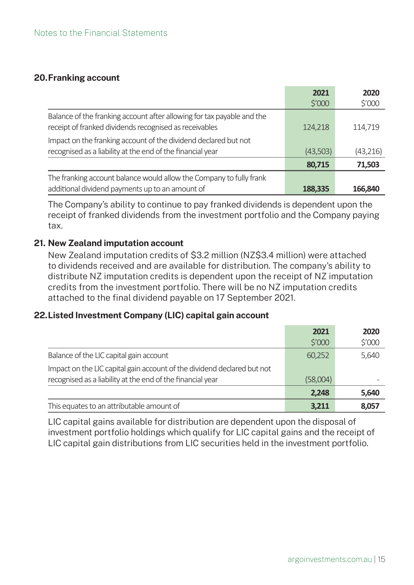# **20. Franking account**

|                                                                                                                                  | 2021             | 2020      |
|----------------------------------------------------------------------------------------------------------------------------------|------------------|-----------|
|                                                                                                                                  | $\frac{1}{2}000$ | \$′000    |
| Balance of the franking account after allowing for tax payable and the<br>receipt of franked dividends recognised as receivables | 124,218          | 114,719   |
| Impact on the franking account of the dividend declared but not<br>recognised as a liability at the end of the financial year    | (43,503)         | (43, 216) |
|                                                                                                                                  | 80,715           | 71,503    |
| The franking account balance would allow the Company to fully frank<br>additional dividend payments up to an amount of           | 188,335          | 166,840   |

The Company's ability to continue to pay franked dividends is dependent upon the receipt of franked dividends from the investment portfolio and the Company paying tax.

# **21. New Zealand imputation account**

New Zealand imputation credits of \$3.2 million (NZ\$3.4 million) were attached to dividends received and are available for distribution. The company's ability to distribute NZ imputation credits is dependent upon the receipt of NZ imputation credits from the investment portfolio. There will be no NZ imputation credits attached to the final dividend payable on 17 September 2021.

# **22. Listed Investment Company (LIC) capital gain account**

|                                                                                                                                       | 2021     | 2020   |
|---------------------------------------------------------------------------------------------------------------------------------------|----------|--------|
|                                                                                                                                       | \$'000   | \$′000 |
| Balance of the LIC capital gain account                                                                                               | 60,252   | 5,640  |
| Impact on the LIC capital gain account of the dividend declared but not<br>recognised as a liability at the end of the financial year | (58,004) |        |
|                                                                                                                                       | 2,248    | 5,640  |
| This equates to an attributable amount of                                                                                             | 3,211    | 8,057  |

LIC capital gains available for distribution are dependent upon the disposal of investment portfolio holdings which qualify for LIC capital gains and the receipt of LIC capital gain distributions from LIC securities held in the investment portfolio.